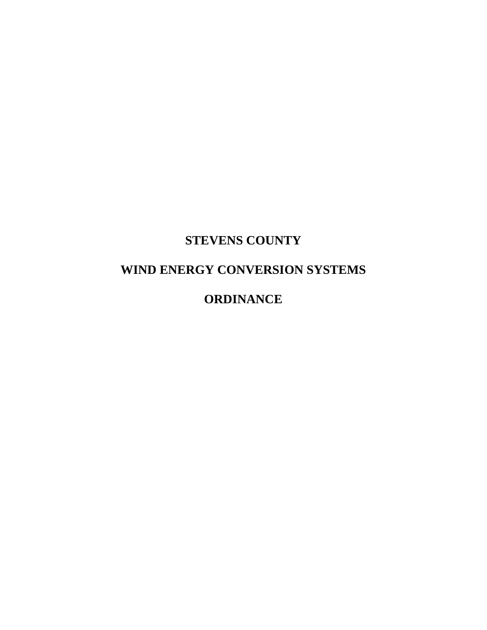## **STEVENS COUNTY**

# **WIND ENERGY CONVERSION SYSTEMS**

## **ORDINANCE**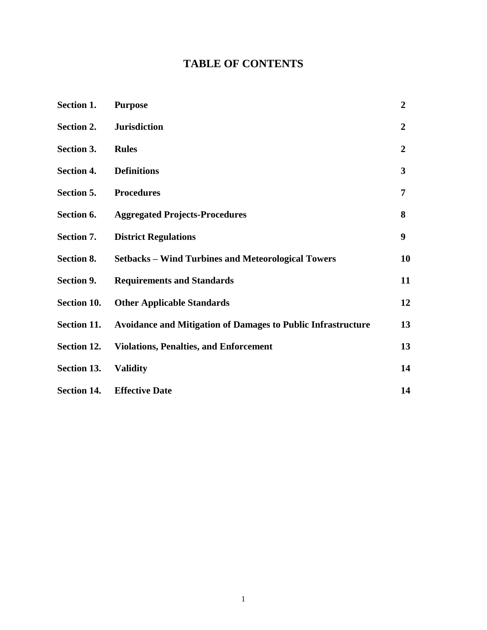## **TABLE OF CONTENTS**

| Section 1.         | <b>Purpose</b>                                                      | $\overline{2}$ |
|--------------------|---------------------------------------------------------------------|----------------|
| Section 2.         | <b>Jurisdiction</b>                                                 | $\overline{2}$ |
| Section 3.         | <b>Rules</b>                                                        | $\overline{2}$ |
| <b>Section 4.</b>  | <b>Definitions</b>                                                  | 3              |
| Section 5.         | <b>Procedures</b>                                                   | 7              |
| Section 6.         | <b>Aggregated Projects-Procedures</b>                               | 8              |
| Section 7.         | <b>District Regulations</b>                                         | 9              |
| Section 8.         | <b>Setbacks - Wind Turbines and Meteorological Towers</b>           | 10             |
| Section 9.         | <b>Requirements and Standards</b>                                   | 11             |
| Section 10.        | <b>Other Applicable Standards</b>                                   | 12             |
| Section 11.        | <b>Avoidance and Mitigation of Damages to Public Infrastructure</b> | 13             |
| Section 12.        | <b>Violations, Penalties, and Enforcement</b>                       | 13             |
| Section 13.        | <b>Validity</b>                                                     | 14             |
| <b>Section 14.</b> | <b>Effective Date</b>                                               | 14             |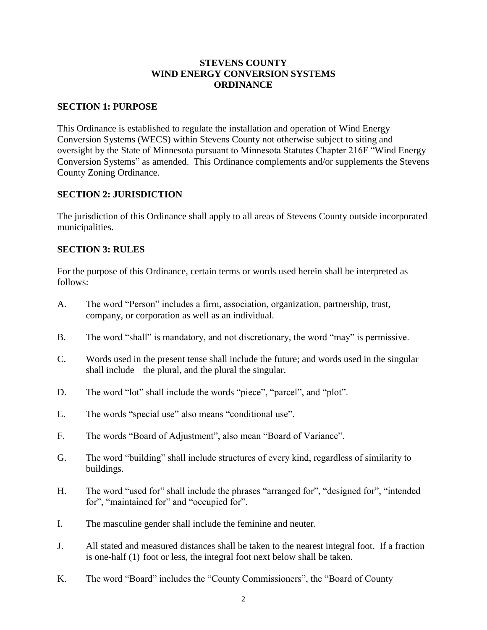### **STEVENS COUNTY WIND ENERGY CONVERSION SYSTEMS ORDINANCE**

#### **SECTION 1: PURPOSE**

This Ordinance is established to regulate the installation and operation of Wind Energy Conversion Systems (WECS) within Stevens County not otherwise subject to siting and oversight by the State of Minnesota pursuant to Minnesota Statutes Chapter 216F "Wind Energy Conversion Systems" as amended. This Ordinance complements and/or supplements the Stevens County Zoning Ordinance.

## **SECTION 2: JURISDICTION**

The jurisdiction of this Ordinance shall apply to all areas of Stevens County outside incorporated municipalities.

## **SECTION 3: RULES**

For the purpose of this Ordinance, certain terms or words used herein shall be interpreted as follows:

- A. The word "Person" includes a firm, association, organization, partnership, trust, company, or corporation as well as an individual.
- B. The word "shall" is mandatory, and not discretionary, the word "may" is permissive.
- C. Words used in the present tense shall include the future; and words used in the singular shall include the plural, and the plural the singular.
- D. The word "lot" shall include the words "piece", "parcel", and "plot".
- E. The words "special use" also means "conditional use".
- F. The words "Board of Adjustment", also mean "Board of Variance".
- G. The word "building" shall include structures of every kind, regardless of similarity to buildings.
- H. The word "used for" shall include the phrases "arranged for", "designed for", "intended for", "maintained for" and "occupied for".
- I. The masculine gender shall include the feminine and neuter.
- J. All stated and measured distances shall be taken to the nearest integral foot. If a fraction is one-half (1) foot or less, the integral foot next below shall be taken.
- K. The word "Board" includes the "County Commissioners", the "Board of County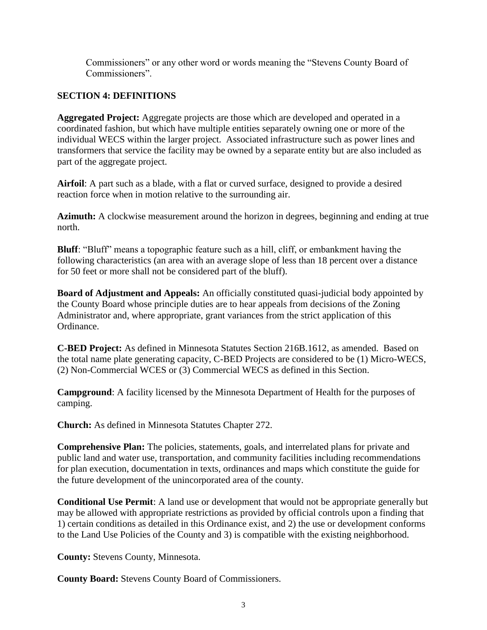Commissioners" or any other word or words meaning the "Stevens County Board of Commissioners".

## **SECTION 4: DEFINITIONS**

**Aggregated Project:** Aggregate projects are those which are developed and operated in a coordinated fashion, but which have multiple entities separately owning one or more of the individual WECS within the larger project. Associated infrastructure such as power lines and transformers that service the facility may be owned by a separate entity but are also included as part of the aggregate project.

**Airfoil**: A part such as a blade, with a flat or curved surface, designed to provide a desired reaction force when in motion relative to the surrounding air.

**Azimuth:** A clockwise measurement around the horizon in degrees, beginning and ending at true north.

**Bluff**: "Bluff" means a topographic feature such as a hill, cliff, or embankment having the following characteristics (an area with an average slope of less than 18 percent over a distance for 50 feet or more shall not be considered part of the bluff).

**Board of Adjustment and Appeals:** An officially constituted quasi-judicial body appointed by the County Board whose principle duties are to hear appeals from decisions of the Zoning Administrator and, where appropriate, grant variances from the strict application of this Ordinance.

**C-BED Project:** As defined in Minnesota Statutes Section 216B.1612, as amended. Based on the total name plate generating capacity, C-BED Projects are considered to be (1) Micro-WECS, (2) Non-Commercial WCES or (3) Commercial WECS as defined in this Section.

**Campground**: A facility licensed by the Minnesota Department of Health for the purposes of camping.

**Church:** As defined in Minnesota Statutes Chapter 272.

**Comprehensive Plan:** The policies, statements, goals, and interrelated plans for private and public land and water use, transportation, and community facilities including recommendations for plan execution, documentation in texts, ordinances and maps which constitute the guide for the future development of the unincorporated area of the county.

**Conditional Use Permit**: A land use or development that would not be appropriate generally but may be allowed with appropriate restrictions as provided by official controls upon a finding that 1) certain conditions as detailed in this Ordinance exist, and 2) the use or development conforms to the Land Use Policies of the County and 3) is compatible with the existing neighborhood.

**County:** Stevens County, Minnesota.

**County Board:** Stevens County Board of Commissioners.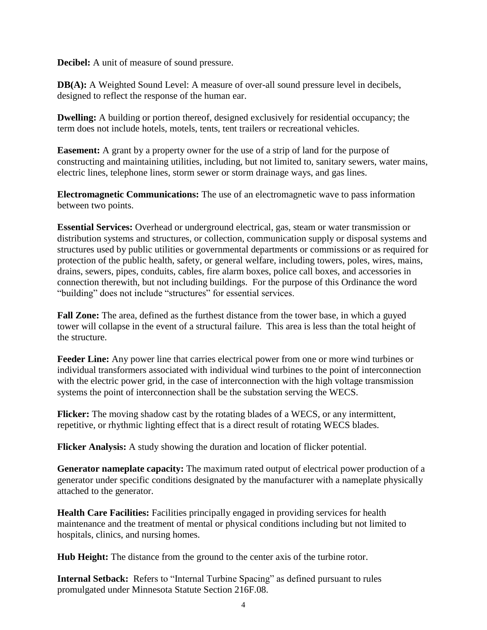**Decibel:** A unit of measure of sound pressure.

**DB(A):** A Weighted Sound Level: A measure of over-all sound pressure level in decibels, designed to reflect the response of the human ear.

**Dwelling:** A building or portion thereof, designed exclusively for residential occupancy; the term does not include hotels, motels, tents, tent trailers or recreational vehicles.

**Easement:** A grant by a property owner for the use of a strip of land for the purpose of constructing and maintaining utilities, including, but not limited to, sanitary sewers, water mains, electric lines, telephone lines, storm sewer or storm drainage ways, and gas lines.

**Electromagnetic Communications:** The use of an electromagnetic wave to pass information between two points.

**Essential Services:** Overhead or underground electrical, gas, steam or water transmission or distribution systems and structures, or collection, communication supply or disposal systems and structures used by public utilities or governmental departments or commissions or as required for protection of the public health, safety, or general welfare, including towers, poles, wires, mains, drains, sewers, pipes, conduits, cables, fire alarm boxes, police call boxes, and accessories in connection therewith, but not including buildings. For the purpose of this Ordinance the word "building" does not include "structures" for essential services.

**Fall Zone:** The area, defined as the furthest distance from the tower base, in which a guyed tower will collapse in the event of a structural failure. This area is less than the total height of the structure.

**Feeder Line:** Any power line that carries electrical power from one or more wind turbines or individual transformers associated with individual wind turbines to the point of interconnection with the electric power grid, in the case of interconnection with the high voltage transmission systems the point of interconnection shall be the substation serving the WECS.

**Flicker:** The moving shadow cast by the rotating blades of a WECS, or any intermittent, repetitive, or rhythmic lighting effect that is a direct result of rotating WECS blades.

**Flicker Analysis:** A study showing the duration and location of flicker potential.

**Generator nameplate capacity:** The maximum rated output of electrical power production of a generator under specific conditions designated by the manufacturer with a nameplate physically attached to the generator.

**Health Care Facilities:** Facilities principally engaged in providing services for health maintenance and the treatment of mental or physical conditions including but not limited to hospitals, clinics, and nursing homes.

**Hub Height:** The distance from the ground to the center axis of the turbine rotor.

**Internal Setback:** Refers to "Internal Turbine Spacing" as defined pursuant to rules promulgated under Minnesota Statute Section 216F.08.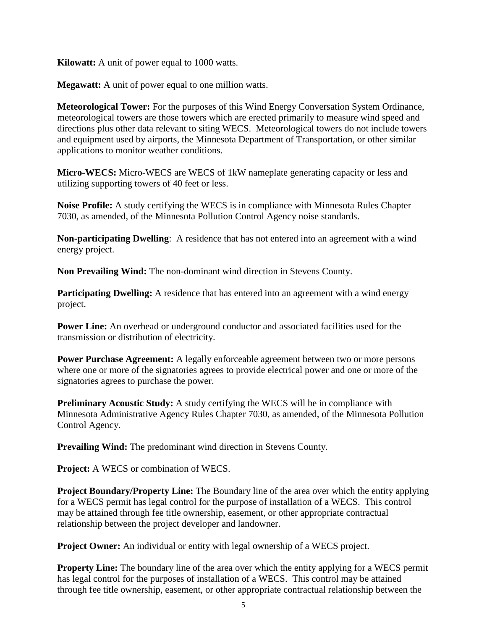**Kilowatt:** A unit of power equal to 1000 watts.

**Megawatt:** A unit of power equal to one million watts.

**Meteorological Tower:** For the purposes of this Wind Energy Conversation System Ordinance, meteorological towers are those towers which are erected primarily to measure wind speed and directions plus other data relevant to siting WECS. Meteorological towers do not include towers and equipment used by airports, the Minnesota Department of Transportation, or other similar applications to monitor weather conditions.

**Micro-WECS:** Micro-WECS are WECS of 1kW nameplate generating capacity or less and utilizing supporting towers of 40 feet or less.

**Noise Profile:** A study certifying the WECS is in compliance with Minnesota Rules Chapter 7030, as amended, of the Minnesota Pollution Control Agency noise standards.

**Non-participating Dwelling**: A residence that has not entered into an agreement with a wind energy project.

**Non Prevailing Wind:** The non-dominant wind direction in Stevens County.

**Participating Dwelling:** A residence that has entered into an agreement with a wind energy project.

**Power Line:** An overhead or underground conductor and associated facilities used for the transmission or distribution of electricity.

**Power Purchase Agreement:** A legally enforceable agreement between two or more persons where one or more of the signatories agrees to provide electrical power and one or more of the signatories agrees to purchase the power.

**Preliminary Acoustic Study:** A study certifying the WECS will be in compliance with Minnesota Administrative Agency Rules Chapter 7030, as amended, of the Minnesota Pollution Control Agency.

**Prevailing Wind:** The predominant wind direction in Stevens County.

**Project:** A WECS or combination of WECS.

**Project Boundary/Property Line:** The Boundary line of the area over which the entity applying for a WECS permit has legal control for the purpose of installation of a WECS. This control may be attained through fee title ownership, easement, or other appropriate contractual relationship between the project developer and landowner.

**Project Owner:** An individual or entity with legal ownership of a WECS project.

**Property Line:** The boundary line of the area over which the entity applying for a WECS permit has legal control for the purposes of installation of a WECS. This control may be attained through fee title ownership, easement, or other appropriate contractual relationship between the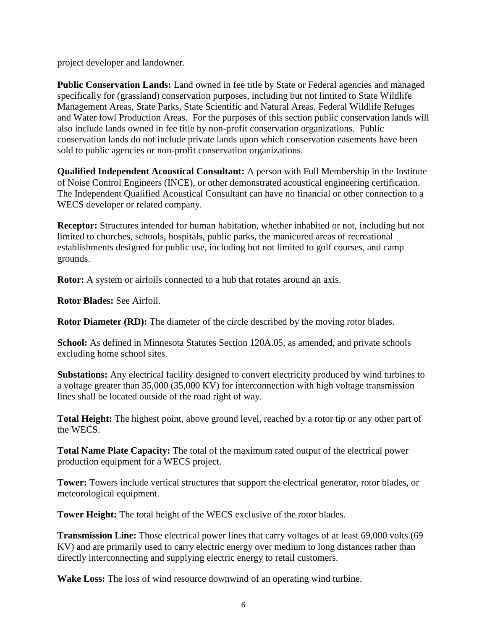project developer and landowner.

Public Conservation Lands: Land owned in fee title by State or Federal agencies and managed specifically for (grassland) conservation purposes, including but not limited to State Wildlife Management Areas, State Parks, State Scientific and Natural Areas, Federal Wildlife Refuges and Water fowl Production Areas. For the purposes of this section public conservation lands will also include lands owned in fee title by non-profit conservation organizations. Public conservation lands do not include private lands upon which conservation easements have been sold to public agencies or non-profit conservation organizations.

**Qualified Independent Acoustical Consultant:** A person with Full Membership in the Institute of Noise Control Engineers (INCE), or other demonstrated acoustical engineering certification. The Independent Qualified Acoustical Consultant can have no financial or other connection to a WECS developer or related company.

**Receptor:** Structures intended for human habitation, whether inhabited or not, including but not limited to churches, schools, hospitals, public parks, the manicured areas of recreational establishments designed for public use, including but not limited to golf courses, and camp grounds.

**Rotor:** A system or airfoils connected to a hub that rotates around an axis.

**Rotor Blades:** See Airfoil.

**Rotor Diameter (RD):** The diameter of the circle described by the moving rotor blades.

**School:** As defined in Minnesota Statutes Section 120A.05, as amended, and private schools excluding home school sites.

**Substations:** Any electrical facility designed to convert electricity produced by wind turbines to a voltage greater than 35,000 (35,000 KV) for interconnection with high voltage transmission lines shall be located outside of the road right of way.

**Total Height:** The highest point, above ground level, reached by a rotor tip or any other part of the WECS.

**Total Name Plate Capacity:** The total of the maximum rated output of the electrical power production equipment for a WECS project.

**Tower:** Towers include vertical structures that support the electrical generator, rotor blades, or meteorological equipment.

**Tower Height:** The total height of the WECS exclusive of the rotor blades.

**Transmission Line:** Those electrical power lines that carry voltages of at least 69,000 volts (69 KV) and are primarily used to carry electric energy over medium to long distances rather than directly interconnecting and supplying electric energy to retail customers.

**Wake Loss:** The loss of wind resource downwind of an operating wind turbine.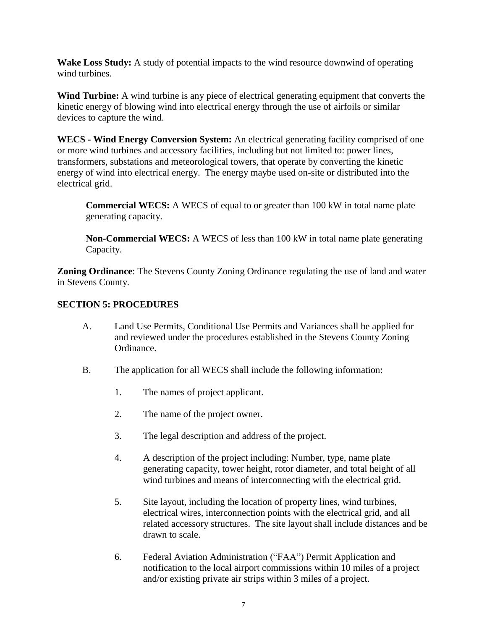**Wake Loss Study:** A study of potential impacts to the wind resource downwind of operating wind turbines.

**Wind Turbine:** A wind turbine is any piece of electrical generating equipment that converts the kinetic energy of blowing wind into electrical energy through the use of airfoils or similar devices to capture the wind.

**WECS - Wind Energy Conversion System:** An electrical generating facility comprised of one or more wind turbines and accessory facilities, including but not limited to: power lines, transformers, substations and meteorological towers, that operate by converting the kinetic energy of wind into electrical energy. The energy maybe used on-site or distributed into the electrical grid.

**Commercial WECS:** A WECS of equal to or greater than 100 kW in total name plate generating capacity.

**Non-Commercial WECS:** A WECS of less than 100 kW in total name plate generating Capacity.

**Zoning Ordinance**: The Stevens County Zoning Ordinance regulating the use of land and water in Stevens County.

## **SECTION 5: PROCEDURES**

- A. Land Use Permits, Conditional Use Permits and Variances shall be applied for and reviewed under the procedures established in the Stevens County Zoning Ordinance.
- B. The application for all WECS shall include the following information:
	- 1. The names of project applicant.
	- 2. The name of the project owner.
	- 3. The legal description and address of the project.
	- 4. A description of the project including: Number, type, name plate generating capacity, tower height, rotor diameter, and total height of all wind turbines and means of interconnecting with the electrical grid.
	- 5. Site layout, including the location of property lines, wind turbines, electrical wires, interconnection points with the electrical grid, and all related accessory structures. The site layout shall include distances and be drawn to scale.
	- 6. Federal Aviation Administration ("FAA") Permit Application and notification to the local airport commissions within 10 miles of a project and/or existing private air strips within 3 miles of a project.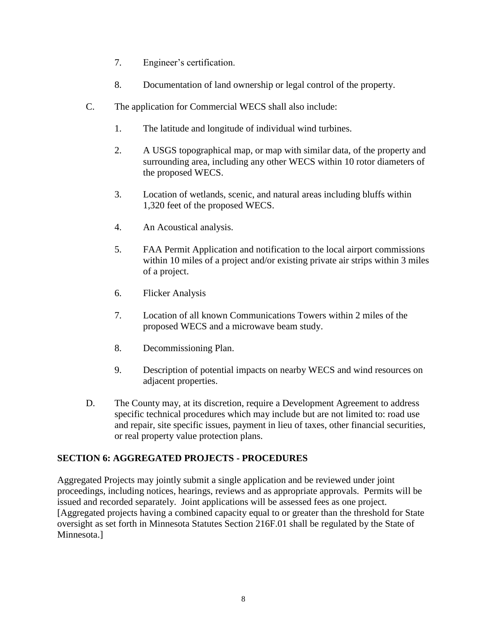- 7. Engineer's certification.
- 8. Documentation of land ownership or legal control of the property.
- C. The application for Commercial WECS shall also include:
	- 1. The latitude and longitude of individual wind turbines.
	- 2. A USGS topographical map, or map with similar data, of the property and surrounding area, including any other WECS within 10 rotor diameters of the proposed WECS.
	- 3. Location of wetlands, scenic, and natural areas including bluffs within 1,320 feet of the proposed WECS.
	- 4. An Acoustical analysis.
	- 5. FAA Permit Application and notification to the local airport commissions within 10 miles of a project and/or existing private air strips within 3 miles of a project.
	- 6. Flicker Analysis
	- 7. Location of all known Communications Towers within 2 miles of the proposed WECS and a microwave beam study.
	- 8. Decommissioning Plan.
	- 9. Description of potential impacts on nearby WECS and wind resources on adjacent properties.
- D. The County may, at its discretion, require a Development Agreement to address specific technical procedures which may include but are not limited to: road use and repair, site specific issues, payment in lieu of taxes, other financial securities, or real property value protection plans.

## **SECTION 6: AGGREGATED PROJECTS - PROCEDURES**

Aggregated Projects may jointly submit a single application and be reviewed under joint proceedings, including notices, hearings, reviews and as appropriate approvals. Permits will be issued and recorded separately. Joint applications will be assessed fees as one project. [Aggregated projects having a combined capacity equal to or greater than the threshold for State oversight as set forth in Minnesota Statutes Section 216F.01 shall be regulated by the State of Minnesota.]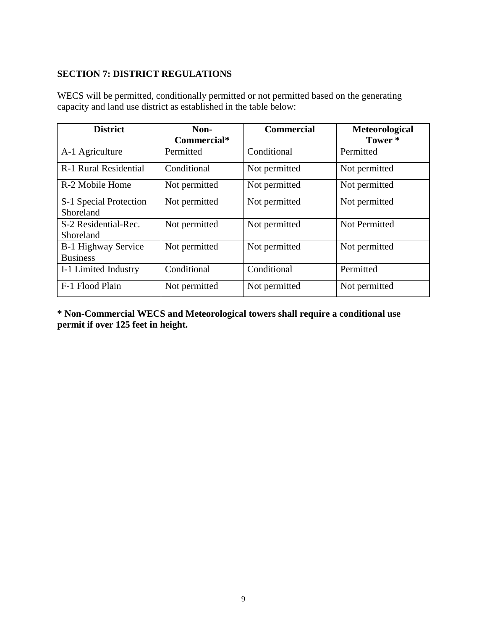## **SECTION 7: DISTRICT REGULATIONS**

| <b>District</b>                        | Non-          | <b>Commercial</b> | <b>Meteorological</b> |
|----------------------------------------|---------------|-------------------|-----------------------|
|                                        | Commercial*   |                   | Tower <sup>*</sup>    |
| A-1 Agriculture                        | Permitted     | Conditional       | Permitted             |
| R-1 Rural Residential                  | Conditional   | Not permitted     | Not permitted         |
| R-2 Mobile Home                        | Not permitted | Not permitted     | Not permitted         |
| S-1 Special Protection<br>Shoreland    | Not permitted | Not permitted     | Not permitted         |
| S-2 Residential-Rec.<br>Shoreland      | Not permitted | Not permitted     | <b>Not Permitted</b>  |
| B-1 Highway Service<br><b>Business</b> | Not permitted | Not permitted     | Not permitted         |
| I-1 Limited Industry                   | Conditional   | Conditional       | Permitted             |
| F-1 Flood Plain                        | Not permitted | Not permitted     | Not permitted         |

WECS will be permitted, conditionally permitted or not permitted based on the generating capacity and land use district as established in the table below:

**\* Non-Commercial WECS and Meteorological towers shall require a conditional use permit if over 125 feet in height.**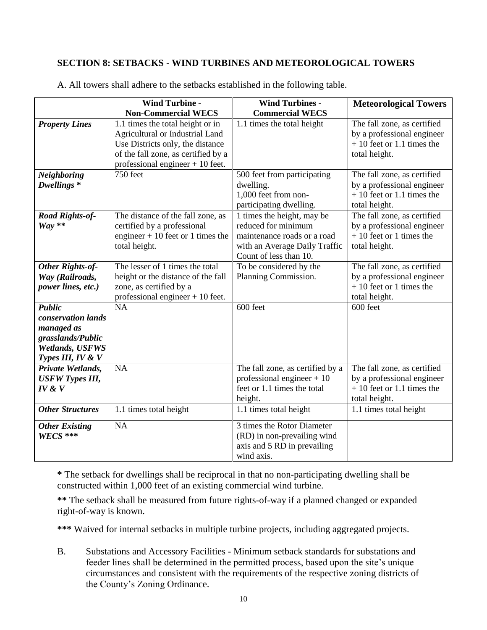## **SECTION 8: SETBACKS - WIND TURBINES AND METEOROLOGICAL TOWERS**

|                                                                                                                | <b>Wind Turbine -</b><br><b>Non-Commercial WECS</b>                                                                                                                                 | <b>Wind Turbines -</b><br><b>Commercial WECS</b>                                                                                            | <b>Meteorological Towers</b>                                                                              |
|----------------------------------------------------------------------------------------------------------------|-------------------------------------------------------------------------------------------------------------------------------------------------------------------------------------|---------------------------------------------------------------------------------------------------------------------------------------------|-----------------------------------------------------------------------------------------------------------|
| <b>Property Lines</b>                                                                                          | 1.1 times the total height or in<br>Agricultural or Industrial Land<br>Use Districts only, the distance<br>of the fall zone, as certified by a<br>professional engineer $+10$ feet. | 1.1 times the total height                                                                                                                  | The fall zone, as certified<br>by a professional engineer<br>$+10$ feet or 1.1 times the<br>total height. |
| <b>Neighboring</b><br>Dwellings <sup>*</sup>                                                                   | 750 feet                                                                                                                                                                            | 500 feet from participating<br>dwelling.<br>1,000 feet from non-<br>participating dwelling.                                                 | The fall zone, as certified<br>by a professional engineer<br>$+10$ feet or 1.1 times the<br>total height. |
| Road Rights-of-<br>$Way **$                                                                                    | The distance of the fall zone, as<br>certified by a professional<br>engineer $+10$ feet or 1 times the<br>total height.                                                             | 1 times the height, may be<br>reduced for minimum<br>maintenance roads or a road<br>with an Average Daily Traffic<br>Count of less than 10. | The fall zone, as certified<br>by a professional engineer<br>$+10$ feet or 1 times the<br>total height.   |
| Other Rights-of-<br>Way (Railroads,<br>power lines, etc.)                                                      | The lesser of 1 times the total<br>height or the distance of the fall<br>zone, as certified by a<br>professional engineer $+10$ feet.                                               | To be considered by the<br>Planning Commission.                                                                                             | The fall zone, as certified<br>by a professional engineer<br>$+10$ feet or 1 times the<br>total height.   |
| <b>Public</b><br>conservation lands<br>managed as<br>grasslands/Public<br>Wetlands, USFWS<br>Types III, IV & V | <b>NA</b>                                                                                                                                                                           | 600 feet                                                                                                                                    | 600 feet                                                                                                  |
| Private Wetlands,<br><b>USFW Types III,</b><br>IV & V                                                          | <b>NA</b>                                                                                                                                                                           | The fall zone, as certified by a<br>professional engineer $+10$<br>feet or 1.1 times the total<br>height.                                   | The fall zone, as certified<br>by a professional engineer<br>$+10$ feet or 1.1 times the<br>total height. |
| <b>Other Structures</b>                                                                                        | 1.1 times total height                                                                                                                                                              | 1.1 times total height                                                                                                                      | 1.1 times total height                                                                                    |
| <b>Other Existing</b><br>$W\!E\!C\!S$ ***                                                                      | NA                                                                                                                                                                                  | 3 times the Rotor Diameter<br>(RD) in non-prevailing wind<br>axis and 5 RD in prevailing<br>wind axis.                                      |                                                                                                           |

A. All towers shall adhere to the setbacks established in the following table.

**\*** The setback for dwellings shall be reciprocal in that no non-participating dwelling shall be constructed within 1,000 feet of an existing commercial wind turbine.

**\*\*** The setback shall be measured from future rights-of-way if a planned changed or expanded right-of-way is known.

**\*\*\*** Waived for internal setbacks in multiple turbine projects, including aggregated projects.

B. Substations and Accessory Facilities - Minimum setback standards for substations and feeder lines shall be determined in the permitted process, based upon the site's unique circumstances and consistent with the requirements of the respective zoning districts of the County's Zoning Ordinance.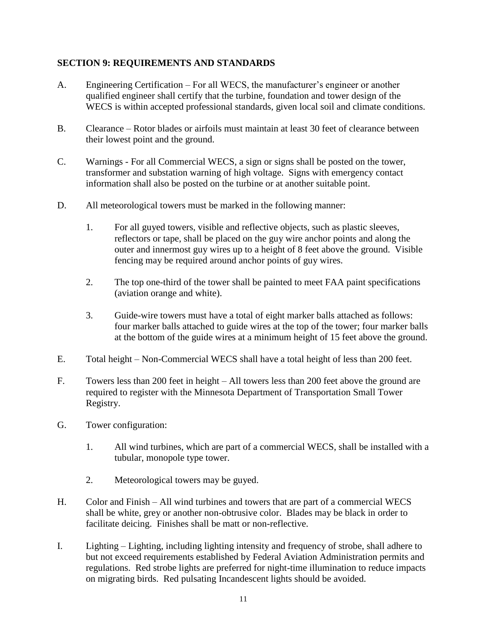## **SECTION 9: REQUIREMENTS AND STANDARDS**

- A. Engineering Certification For all WECS, the manufacturer's engineer or another qualified engineer shall certify that the turbine, foundation and tower design of the WECS is within accepted professional standards, given local soil and climate conditions.
- B. Clearance Rotor blades or airfoils must maintain at least 30 feet of clearance between their lowest point and the ground.
- C. Warnings For all Commercial WECS, a sign or signs shall be posted on the tower, transformer and substation warning of high voltage. Signs with emergency contact information shall also be posted on the turbine or at another suitable point.
- D. All meteorological towers must be marked in the following manner:
	- 1. For all guyed towers, visible and reflective objects, such as plastic sleeves, reflectors or tape, shall be placed on the guy wire anchor points and along the outer and innermost guy wires up to a height of 8 feet above the ground. Visible fencing may be required around anchor points of guy wires.
	- 2. The top one-third of the tower shall be painted to meet FAA paint specifications (aviation orange and white).
	- 3. Guide-wire towers must have a total of eight marker balls attached as follows: four marker balls attached to guide wires at the top of the tower; four marker balls at the bottom of the guide wires at a minimum height of 15 feet above the ground.
- E. Total height Non-Commercial WECS shall have a total height of less than 200 feet.
- F. Towers less than 200 feet in height All towers less than 200 feet above the ground are required to register with the Minnesota Department of Transportation Small Tower Registry.
- G. Tower configuration:
	- 1. All wind turbines, which are part of a commercial WECS, shall be installed with a tubular, monopole type tower.
	- 2. Meteorological towers may be guyed.
- H. Color and Finish All wind turbines and towers that are part of a commercial WECS shall be white, grey or another non-obtrusive color. Blades may be black in order to facilitate deicing. Finishes shall be matt or non-reflective.
- I. Lighting Lighting, including lighting intensity and frequency of strobe, shall adhere to but not exceed requirements established by Federal Aviation Administration permits and regulations. Red strobe lights are preferred for night-time illumination to reduce impacts on migrating birds. Red pulsating Incandescent lights should be avoided.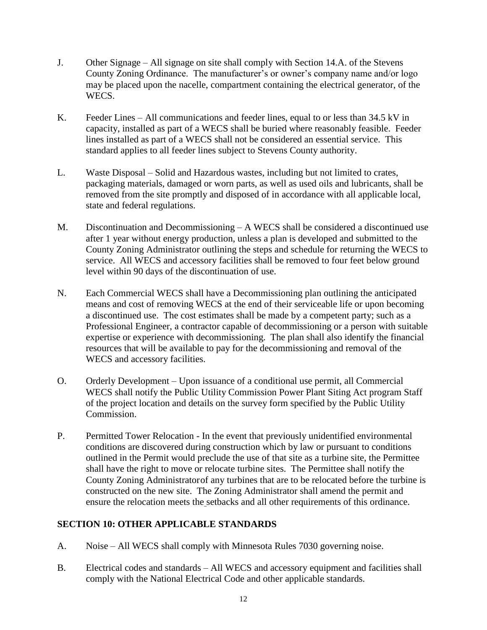- J. Other Signage All signage on site shall comply with Section 14.A. of the Stevens County Zoning Ordinance. The manufacturer's or owner's company name and/or logo may be placed upon the nacelle, compartment containing the electrical generator, of the WECS.
- K. Feeder Lines All communications and feeder lines, equal to or less than 34.5 kV in capacity, installed as part of a WECS shall be buried where reasonably feasible. Feeder lines installed as part of a WECS shall not be considered an essential service. This standard applies to all feeder lines subject to Stevens County authority.
- L. Waste Disposal Solid and Hazardous wastes, including but not limited to crates, packaging materials, damaged or worn parts, as well as used oils and lubricants, shall be removed from the site promptly and disposed of in accordance with all applicable local, state and federal regulations.
- M. Discontinuation and Decommissioning A WECS shall be considered a discontinued use after 1 year without energy production, unless a plan is developed and submitted to the County Zoning Administrator outlining the steps and schedule for returning the WECS to service. All WECS and accessory facilities shall be removed to four feet below ground level within 90 days of the discontinuation of use.
- N. Each Commercial WECS shall have a Decommissioning plan outlining the anticipated means and cost of removing WECS at the end of their serviceable life or upon becoming a discontinued use. The cost estimates shall be made by a competent party; such as a Professional Engineer, a contractor capable of decommissioning or a person with suitable expertise or experience with decommissioning. The plan shall also identify the financial resources that will be available to pay for the decommissioning and removal of the WECS and accessory facilities.
- O. Orderly Development Upon issuance of a conditional use permit, all Commercial WECS shall notify the Public Utility Commission Power Plant Siting Act program Staff of the project location and details on the survey form specified by the Public Utility Commission.
- P. Permitted Tower Relocation In the event that previously unidentified environmental conditions are discovered during construction which by law or pursuant to conditions outlined in the Permit would preclude the use of that site as a turbine site, the Permittee shall have the right to move or relocate turbine sites. The Permittee shall notify the County Zoning Administratorof any turbines that are to be relocated before the turbine is constructed on the new site. The Zoning Administrator shall amend the permit and ensure the relocation meets the setbacks and all other requirements of this ordinance.

## **SECTION 10: OTHER APPLICABLE STANDARDS**

- A. Noise All WECS shall comply with Minnesota Rules 7030 governing noise.
- B. Electrical codes and standards All WECS and accessory equipment and facilities shall comply with the National Electrical Code and other applicable standards.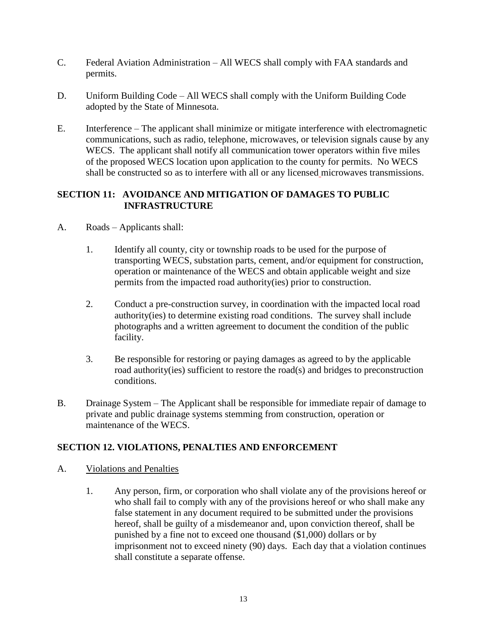- C. Federal Aviation Administration All WECS shall comply with FAA standards and permits.
- D. Uniform Building Code All WECS shall comply with the Uniform Building Code adopted by the State of Minnesota.
- E. Interference The applicant shall minimize or mitigate interference with electromagnetic communications, such as radio, telephone, microwaves, or television signals cause by any WECS. The applicant shall notify all communication tower operators within five miles of the proposed WECS location upon application to the county for permits. No WECS shall be constructed so as to interfere with all or any licensed microwaves transmissions.

## **SECTION 11: AVOIDANCE AND MITIGATION OF DAMAGES TO PUBLIC INFRASTRUCTURE**

- A. Roads Applicants shall:
	- 1. Identify all county, city or township roads to be used for the purpose of transporting WECS, substation parts, cement, and/or equipment for construction, operation or maintenance of the WECS and obtain applicable weight and size permits from the impacted road authority(ies) prior to construction.
	- 2. Conduct a pre-construction survey, in coordination with the impacted local road authority(ies) to determine existing road conditions. The survey shall include photographs and a written agreement to document the condition of the public facility.
	- 3. Be responsible for restoring or paying damages as agreed to by the applicable road authority(ies) sufficient to restore the road(s) and bridges to preconstruction conditions.
- B. Drainage System The Applicant shall be responsible for immediate repair of damage to private and public drainage systems stemming from construction, operation or maintenance of the WECS.

## **SECTION 12. VIOLATIONS, PENALTIES AND ENFORCEMENT**

- A. Violations and Penalties
	- 1. Any person, firm, or corporation who shall violate any of the provisions hereof or who shall fail to comply with any of the provisions hereof or who shall make any false statement in any document required to be submitted under the provisions hereof, shall be guilty of a misdemeanor and, upon conviction thereof, shall be punished by a fine not to exceed one thousand (\$1,000) dollars or by imprisonment not to exceed ninety (90) days. Each day that a violation continues shall constitute a separate offense.